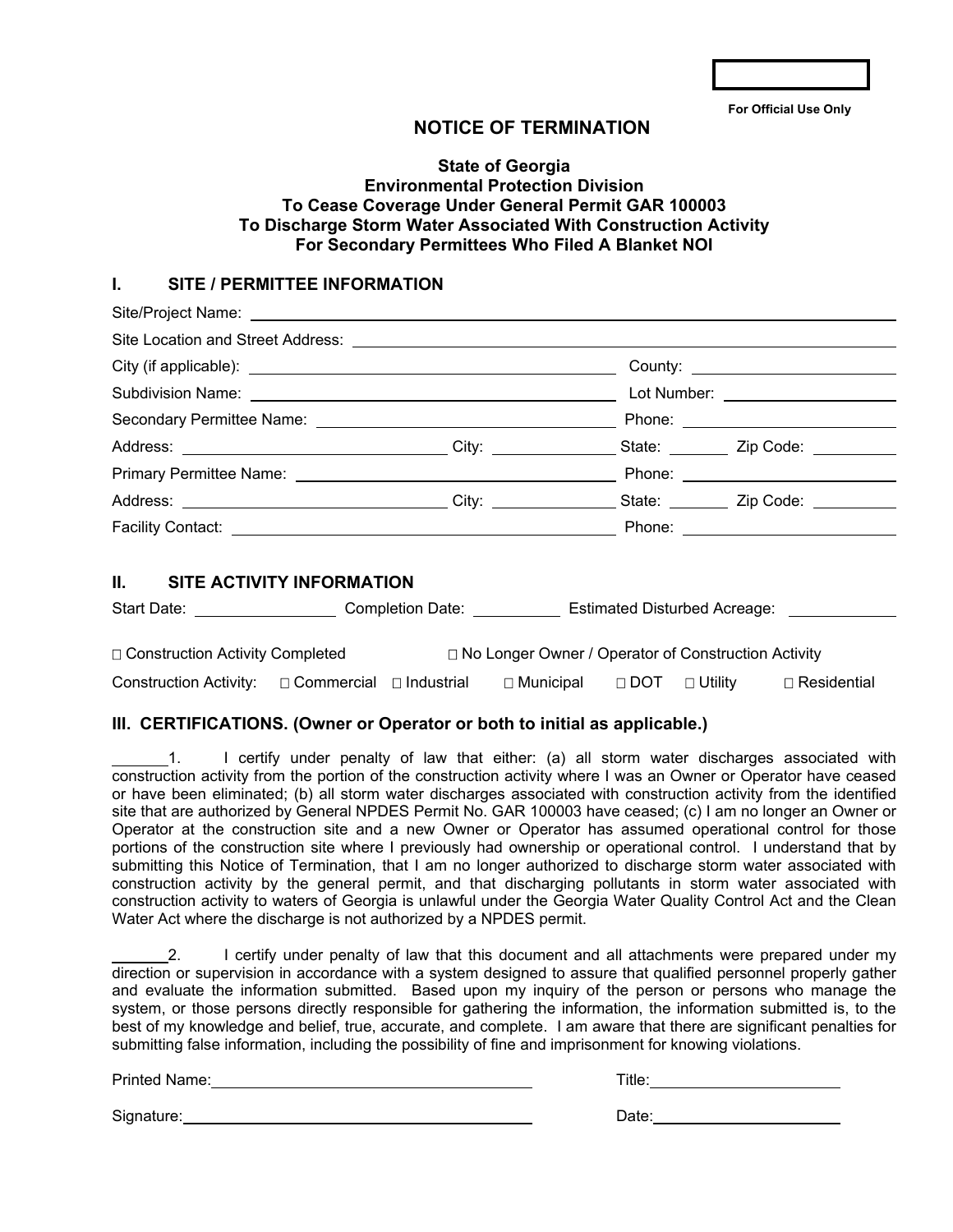**For Official Use Only** 

# **NOTICE OF TERMINATION**

## **State of Georgia Environmental Protection Division To Cease Coverage Under General Permit GAR 100003 To Discharge Storm Water Associated With Construction Activity For Secondary Permittees Who Filed A Blanket NOI**

## **I. SITE / PERMITTEE INFORMATION**

|                                                                                                      |  | Lot Number: ______________________ |  |
|------------------------------------------------------------------------------------------------------|--|------------------------------------|--|
|                                                                                                      |  |                                    |  |
| Address: _________________________________City: _______________State: _________Zip Code: ___________ |  |                                    |  |
|                                                                                                      |  |                                    |  |
| Address: _________________________________City: _______________State: __________Zip Code: __________ |  |                                    |  |
|                                                                                                      |  |                                    |  |
|                                                                                                      |  |                                    |  |

# **II. SITE ACTIVITY INFORMATION**

| Start Date:                       |              | Completion Date: |                                                            |            | <b>Estimated Disturbed Acreage:</b> |                    |
|-----------------------------------|--------------|------------------|------------------------------------------------------------|------------|-------------------------------------|--------------------|
|                                   |              |                  |                                                            |            |                                     |                    |
| □ Construction Activity Completed |              |                  | $\Box$ No Longer Owner / Operator of Construction Activity |            |                                     |                    |
| <b>Construction Activity:</b>     | □ Commercial | □ Industrial     | □ Municipal                                                | $\Box$ DOT | $\Box$ Utility                      | $\Box$ Residential |

### **III. CERTIFICATIONS. (Owner or Operator or both to initial as applicable.)**

1. I certify under penalty of law that either: (a) all storm water discharges associated with construction activity from the portion of the construction activity where I was an Owner or Operator have ceased or have been eliminated; (b) all storm water discharges associated with construction activity from the identified site that are authorized by General NPDES Permit No. GAR 100003 have ceased; (c) I am no longer an Owner or Operator at the construction site and a new Owner or Operator has assumed operational control for those portions of the construction site where I previously had ownership or operational control. I understand that by submitting this Notice of Termination, that I am no longer authorized to discharge storm water associated with construction activity by the general permit, and that discharging pollutants in storm water associated with construction activity to waters of Georgia is unlawful under the Georgia Water Quality Control Act and the Clean Water Act where the discharge is not authorized by a NPDES permit.

2. I certify under penalty of law that this document and all attachments were prepared under my direction or supervision in accordance with a system designed to assure that qualified personnel properly gather and evaluate the information submitted. Based upon my inquiry of the person or persons who manage the system, or those persons directly responsible for gathering the information, the information submitted is, to the best of my knowledge and belief, true, accurate, and complete. I am aware that there are significant penalties for submitting false information, including the possibility of fine and imprisonment for knowing violations.

Printed Name: Title: Title: Title: Title: Title: Title: Title: Title: Title: Title: Title: Title: Title: Title: Title: Title: Title: Title: Title: Title: Title: Title: Title: Title: Title: Title: Title: Title: Title: Title

Signature: 2008. [2013] Signature: 2014 Contract Contract Contract Contract Contract Contract Contract Contract Contract Contract Contract Contract Contract Contract Contract Contract Contract Contract Contract Contract Co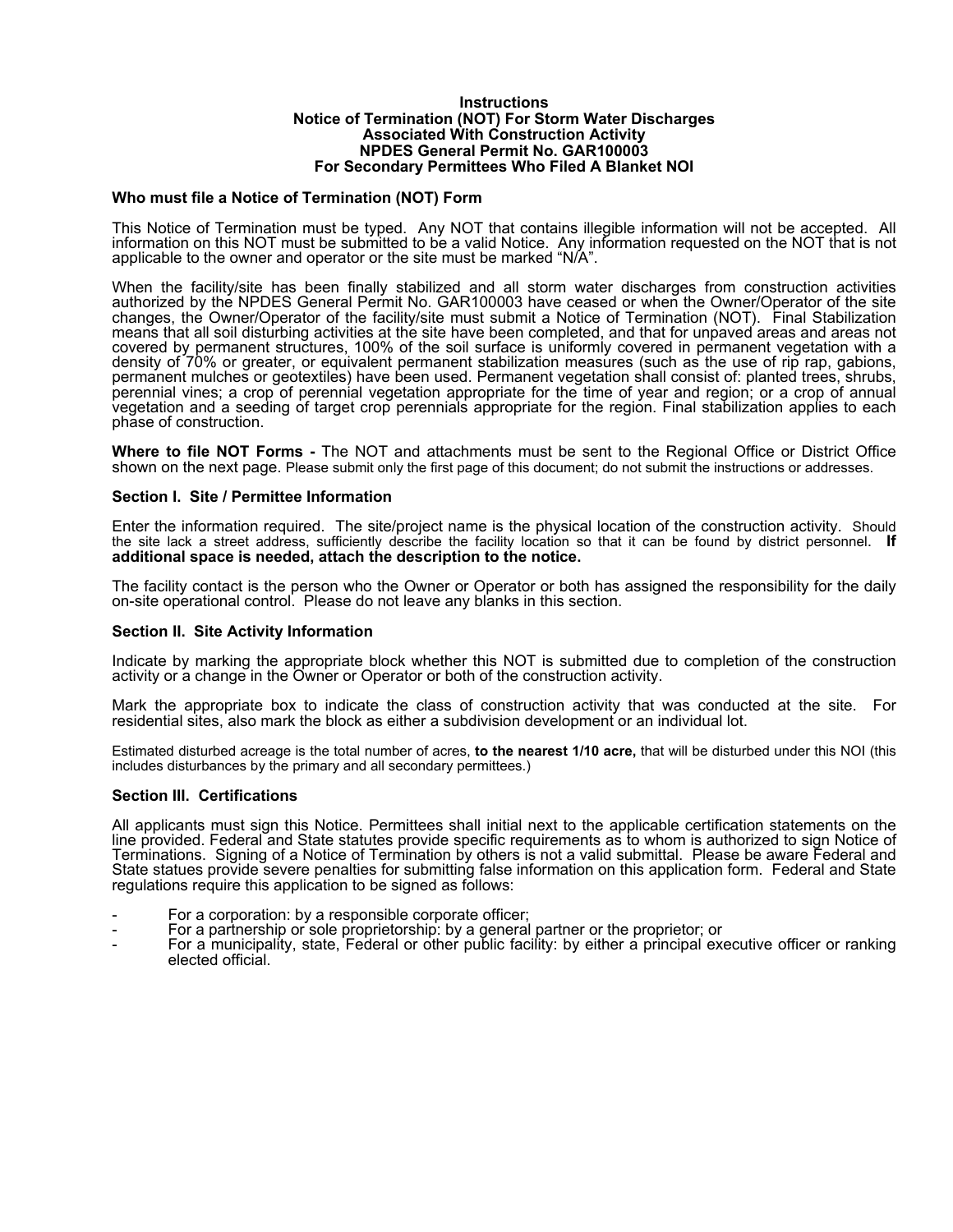#### **Instructions Notice of Termination (NOT) For Storm Water Discharges Associated With Construction Activity NPDES General Permit No. GAR100003 For Secondary Permittees Who Filed A Blanket NOI**

### **Who must file a Notice of Termination (NOT) Form**

This Notice of Termination must be typed. Any NOT that contains illegible information will not be accepted. All information on this NOT must be submitted to be a valid Notice. Any information requested on the NOT that is not applicable to the owner and operator or the site must be marked "N/A".

When the facility/site has been finally stabilized and all storm water discharges from construction activities authorized by the NPDES General Permit No. GAR100003 have ceased or when the Owner/Operator of the site changes, the Owner/Operator of the facility/site must submit a Notice of Termination (NOT). Final Stabilization means that all soil disturbing activities at the site have been completed, and that for unpaved areas and areas not covered by permanent structures, 100% of the soil surface is uniformly covered in permanent vegetation with a density of 70% or greater, or equivalent permanent stabilization measures (such as the use of rip rap, gabions, permanent mulches or geotextiles) have been used. Permanent vegetation shall consist of: planted trees, shrubs, perennial vines; a crop of perennial vegetation appropriate for the time of year and region; or a crop of annual vegetation and a seeding of target crop perennials appropriate for the region. Final stabilization applies to each phase of construction.

**Where to file NOT Forms -** The NOT and attachments must be sent to the Regional Office or District Office shown on the next page. Please submit only the first page of this document; do not submit the instructions or addresses.

### **Section I. Site / Permittee Information**

Enter the information required. The site/project name is the physical location of the construction activity. Should the site lack a street address, sufficiently describe the facility location so that it can be found by district personnel. **If additional space is needed, attach the description to the notice.** 

The facility contact is the person who the Owner or Operator or both has assigned the responsibility for the daily on-site operational control. Please do not leave any blanks in this section.

#### **Section II. Site Activity Information**

Indicate by marking the appropriate block whether this NOT is submitted due to completion of the construction activity or a change in the Owner or Operator or both of the construction activity.

Mark the appropriate box to indicate the class of construction activity that was conducted at the site. For residential sites, also mark the block as either a subdivision development or an individual lot.

Estimated disturbed acreage is the total number of acres, **to the nearest 1/10 acre,** that will be disturbed under this NOI (this includes disturbances by the primary and all secondary permittees.)

#### **Section III. Certifications**

All applicants must sign this Notice. Permittees shall initial next to the applicable certification statements on the line provided. Federal and State statutes provide specific requirements as to whom is authorized to sign Notice of Terminations. Signing of a Notice of Termination by others is not a valid submittal. Please be aware Federal and State statues provide severe penalties for submitting false information on this application form. Federal and State regulations require this application to be signed as follows:

- For a corporation: by a responsible corporate officer;
- For a partnership or sole proprietorship: by a general partner or the proprietor; or
- For a municipality, state, Federal or other public facility: by either a principal executive officer or ranking elected official.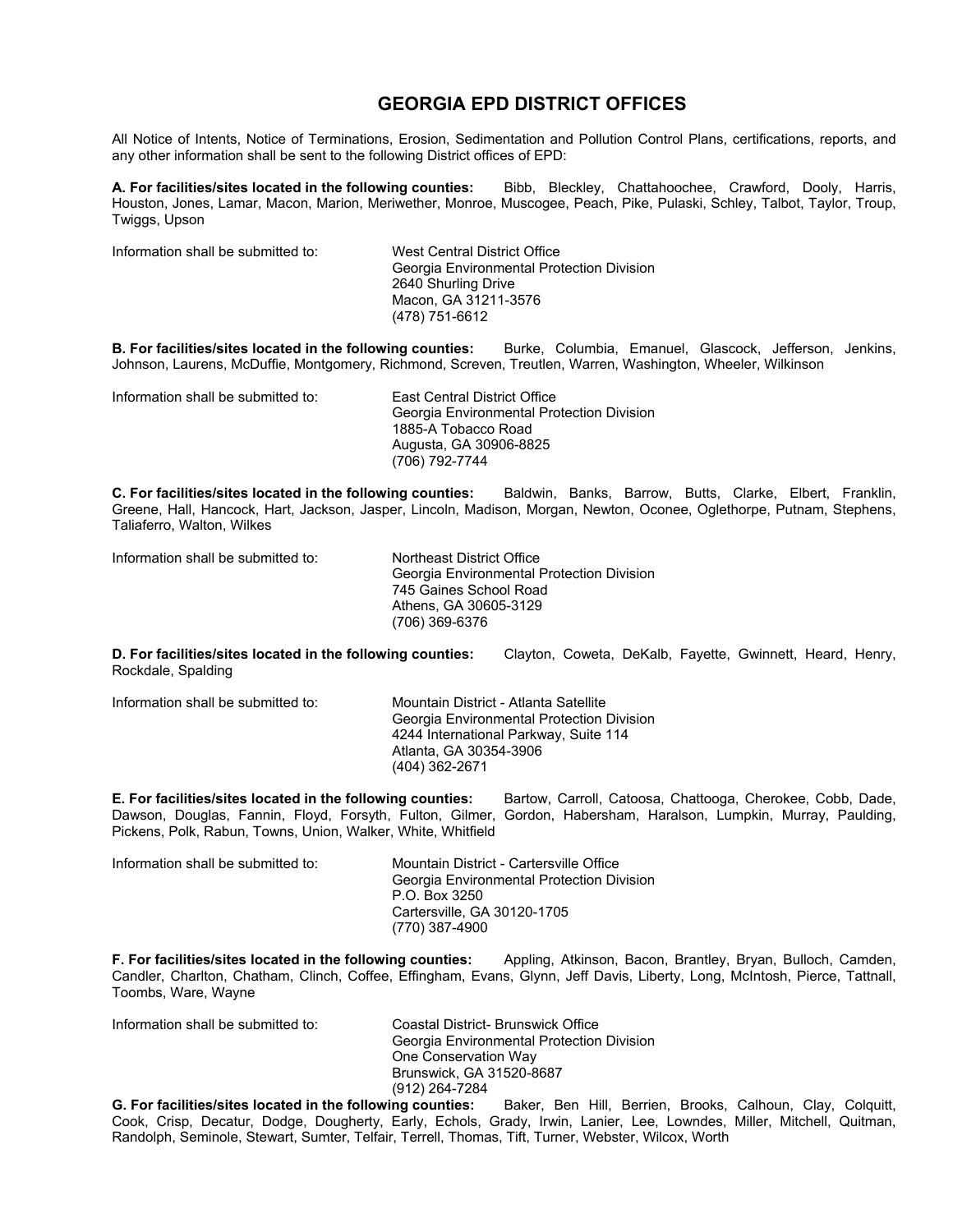# **GEORGIA EPD DISTRICT OFFICES**

All Notice of Intents, Notice of Terminations, Erosion, Sedimentation and Pollution Control Plans, certifications, reports, and any other information shall be sent to the following District offices of EPD:

**A. For facilities/sites located in the following counties:** Bibb, Bleckley, Chattahoochee, Crawford, Dooly, Harris, Houston, Jones, Lamar, Macon, Marion, Meriwether, Monroe, Muscogee, Peach, Pike, Pulaski, Schley, Talbot, Taylor, Troup, Twiggs, Upson

| Information shall be submitted to: | West Central District Office              |
|------------------------------------|-------------------------------------------|
|                                    | Georgia Environmental Protection Division |
|                                    | 2640 Shurling Drive                       |
|                                    | Macon, GA 31211-3576                      |
|                                    | (478) 751-6612                            |

**B. For facilities/sites located in the following counties:** Burke, Columbia, Emanuel, Glascock, Jefferson, Jenkins, Johnson, Laurens, McDuffie, Montgomery, Richmond, Screven, Treutlen, Warren, Washington, Wheeler, Wilkinson

| Information shall be submitted to: | East Central District Office<br>Georgia Environmental Protection Division<br>1885-A Tobacco Road |
|------------------------------------|--------------------------------------------------------------------------------------------------|
|                                    | Augusta, GA 30906-8825                                                                           |
|                                    | (706) 792-7744                                                                                   |

**C. For facilities/sites located in the following counties:** Baldwin, Banks, Barrow, Butts, Clarke, Elbert, Franklin, Greene, Hall, Hancock, Hart, Jackson, Jasper, Lincoln, Madison, Morgan, Newton, Oconee, Oglethorpe, Putnam, Stephens, Taliaferro, Walton, Wilkes

Information shall be submitted to: Northeast District Office

Georgia Environmental Protection Division 745 Gaines School Road Athens, GA 30605-3129 (706) 369-6376

**D. For facilities/sites located in the following counties:** Clayton, Coweta, DeKalb, Fayette, Gwinnett, Heard, Henry, Rockdale, Spalding

| Information shall be submitted to: | Mountain District - Atlanta Satellite<br>Georgia Environmental Protection Division<br>4244 International Parkway, Suite 114<br>Atlanta, GA 30354-3906<br>(404) 362-2671 |
|------------------------------------|-------------------------------------------------------------------------------------------------------------------------------------------------------------------------|
|                                    |                                                                                                                                                                         |

**E. For facilities/sites located in the following counties:** Bartow, Carroll, Catoosa, Chattooga, Cherokee, Cobb, Dade, Dawson, Douglas, Fannin, Floyd, Forsyth, Fulton, Gilmer, Gordon, Habersham, Haralson, Lumpkin, Murray, Paulding, Pickens, Polk, Rabun, Towns, Union, Walker, White, Whitfield

| Information shall be submitted to: | Mountain District - Cartersville Office<br>Georgia Environmental Protection Division<br>P.O. Box 3250<br>Cartersville, GA 30120-1705<br>(770) 387-4900 |
|------------------------------------|--------------------------------------------------------------------------------------------------------------------------------------------------------|
|------------------------------------|--------------------------------------------------------------------------------------------------------------------------------------------------------|

**F. For facilities/sites located in the following counties:** Appling, Atkinson, Bacon, Brantley, Bryan, Bulloch, Camden, Candler, Charlton, Chatham, Clinch, Coffee, Effingham, Evans, Glynn, Jeff Davis, Liberty, Long, McIntosh, Pierce, Tattnall, Toombs, Ware, Wayne

| Information shall be submitted to: | Coastal District- Brunswick Office<br>Georgia Environmental Protection Division<br>One Conservation Way |
|------------------------------------|---------------------------------------------------------------------------------------------------------|
|                                    | Brunswick, GA 31520-8687<br>(912) 264-7284                                                              |

**G. For facilities/sites located in the following counties:** Baker, Ben Hill, Berrien, Brooks, Calhoun, Clay, Colquitt, Cook, Crisp, Decatur, Dodge, Dougherty, Early, Echols, Grady, Irwin, Lanier, Lee, Lowndes, Miller, Mitchell, Quitman, Randolph, Seminole, Stewart, Sumter, Telfair, Terrell, Thomas, Tift, Turner, Webster, Wilcox, Worth